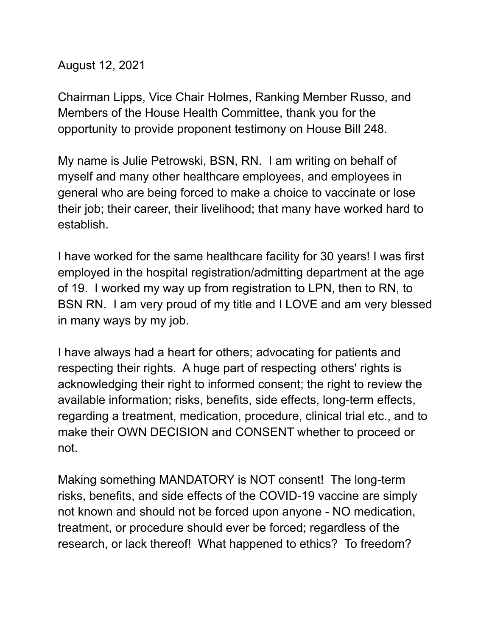August 12, 2021

Chairman Lipps, Vice Chair Holmes, Ranking Member Russo, and Members of the House Health Committee, thank you for the opportunity to provide proponent testimony on House Bill 248.

My name is Julie Petrowski, BSN, RN. I am writing on behalf of myself and many other healthcare employees, and employees in general who are being forced to make a choice to vaccinate or lose their job; their career, their livelihood; that many have worked hard to establish.

I have worked for the same healthcare facility for 30 years! I was first employed in the hospital registration/admitting department at the age of 19. I worked my way up from registration to LPN, then to RN, to BSN RN. I am very proud of my title and I LOVE and am very blessed in many ways by my job.

I have always had a heart for others; advocating for patients and respecting their rights. A huge part of respecting others' rights is acknowledging their right to informed consent; the right to review the available information; risks, benefits, side effects, long-term effects, regarding a treatment, medication, procedure, clinical trial etc., and to make their OWN DECISION and CONSENT whether to proceed or not.

Making something MANDATORY is NOT consent! The long-term risks, benefits, and side effects of the COVID-19 vaccine are simply not known and should not be forced upon anyone - NO medication, treatment, or procedure should ever be forced; regardless of the research, or lack thereof! What happened to ethics? To freedom?